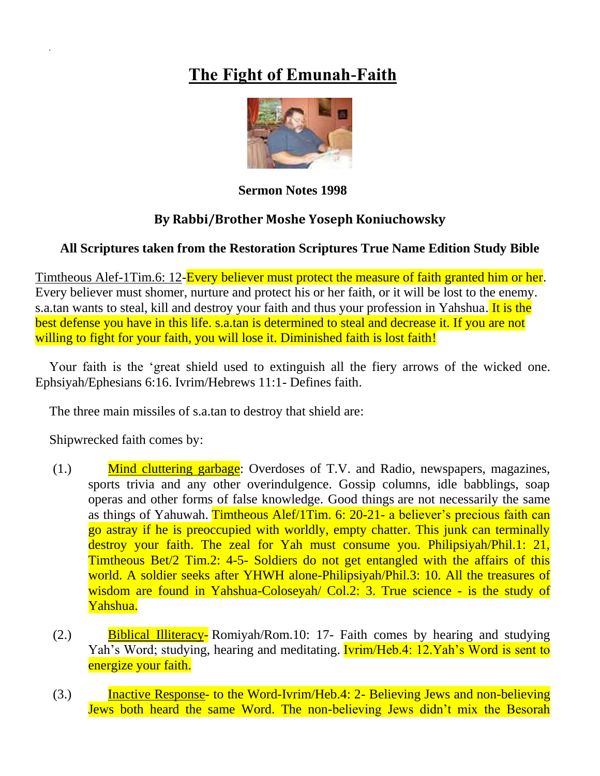## **The Fight of Emunah-Faith**



**Sermon Notes 1998**

## **By Rabbi/Brother Moshe Yoseph Koniuchowsky**

## **All Scriptures taken from the Restoration Scriptures True Name Edition Study Bible**

Timtheous Alef-1Tim.6: 12-Every believer must protect the measure of faith granted him or her. Every believer must shomer, nurture and protect his or her faith, or it will be lost to the enemy. s.a.tan wants to steal, kill and destroy your faith and thus your profession in Yahshua. It is the best defense you have in this life. s.a.tan is determined to steal and decrease it. If you are not willing to fight for your faith, you will lose it. Diminished faith is lost faith!

Your faith is the 'great shield used to extinguish all the fiery arrows of the wicked one. Ephsiyah/Ephesians 6:16. Ivrim/Hebrews 11:1- Defines faith.

The three main missiles of s.a.tan to destroy that shield are:

Shipwrecked faith comes by:

- (1.) Mind cluttering garbage: Overdoses of T.V. and Radio, newspapers, magazines, sports trivia and any other overindulgence. Gossip columns, idle babblings, soap operas and other forms of false knowledge. Good things are not necessarily the same as things of Yahuwah. Timtheous Alef/1Tim. 6: 20-21- a believer's precious faith can go astray if he is preoccupied with worldly, empty chatter. This junk can terminally destroy your faith. The zeal for Yah must consume you. Philipsiyah/Phil.1: 21, Timtheous Bet/2 Tim.2: 4-5- Soldiers do not get entangled with the affairs of this world. A soldier seeks after YHWH alone-Philipsiyah/Phil.3: 10. All the treasures of wisdom are found in Yahshua-Coloseyah/ Col.2: 3. True science - is the study of Yahshua.
- (2.) Biblical Illiteracy- Romiyah/Rom.10: 17- Faith comes by hearing and studying Yah's Word; studying, hearing and meditating. **Ivrim/Heb.4: 12.Yah's Word is sent to** energize your faith.
- (3.) Inactive Response- to the Word-Ivrim/Heb.4: 2- Believing Jews and non-believing Jews both heard the same Word. The non-believing Jews didn't mix the Besorah